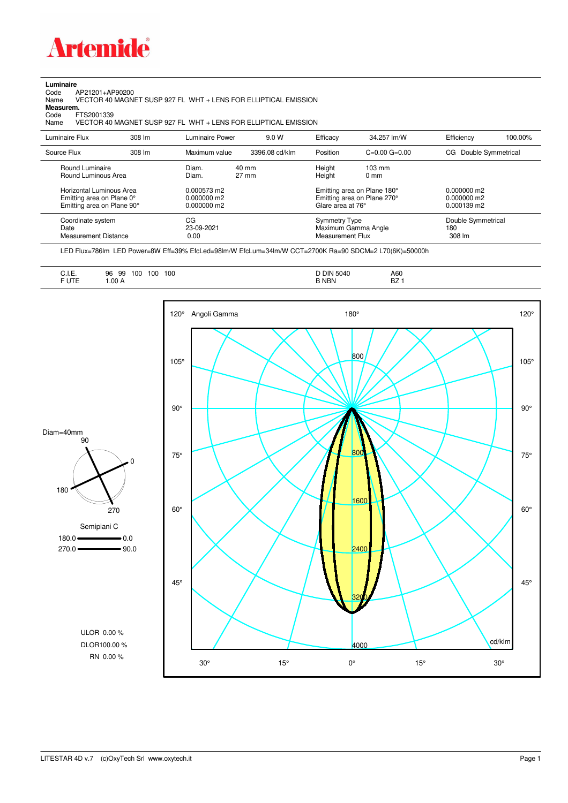

## **Luminaire**<br>Code /<br>Name

Code AP21201+AP90200 Name VECTOR 40 MAGNET SUSP 927 FL WHT + LENS FOR ELLIPTICAL EMISSION **Measurem.**

Code FTS2001339<br>Name VECTOR 40 VECTOR 40 MAGNET SUSP 927 FL WHT + LENS FOR ELLIPTICAL EMISSION

| Luminaire Flux                                                                                                                | 308 lm | Luminaire Power                                                 | 9.0 W                    | Efficacy                                 | 34.257 lm/W                                                                                      | Efficiency                                             | 100.00% |
|-------------------------------------------------------------------------------------------------------------------------------|--------|-----------------------------------------------------------------|--------------------------|------------------------------------------|--------------------------------------------------------------------------------------------------|--------------------------------------------------------|---------|
| Source Flux                                                                                                                   | 308 lm | Maximum value                                                   | 3396.08 cd/klm           | Position                                 | $C=0.00$ $G=0.00$                                                                                | Double Symmetrical<br>CG.                              |         |
| Round Luminaire<br>Round Luminous Area<br>Horizontal Luminous Area<br>Emitting area on Plane 0°<br>Emitting area on Plane 90° |        | Diam.<br>Diam.<br>0.000573 m2<br>$0.000000$ m2<br>$0.000000$ m2 | 40 mm<br>$27 \text{ mm}$ | Height<br>Height<br>Glare area at 76°    | $103 \text{ mm}$<br>$0 \text{ mm}$<br>Emitting area on Plane 180°<br>Emitting area on Plane 270° | $0.000000$ m2<br>$0.000000$ m2<br>$0.000139 \text{ m}$ |         |
| Coordinate system<br>Date<br><b>Measurement Distance</b>                                                                      |        | CG<br>23-09-2021<br>0.00                                        |                          | <b>Symmetry Type</b><br>Measurement Flux | Maximum Gamma Angle                                                                              | Double Symmetrical<br>180<br>308 lm                    |         |

LED Flux=786lm LED Power=8W Eff=39% EfcLed=98lm/W EfcLum=34lm/W CCT=2700K Ra=90 SDCM=2 L70(6K)=50000h

| $\overline{\phantom{a}}$<br>100<br>100<br>100<br>99<br>96<br>◡…<br><b>FUTE</b><br>.00A<br>______ | <b>DIN 5040</b><br><b>B NBN</b> | A60<br><b>BZ</b> |
|--------------------------------------------------------------------------------------------------|---------------------------------|------------------|
|--------------------------------------------------------------------------------------------------|---------------------------------|------------------|